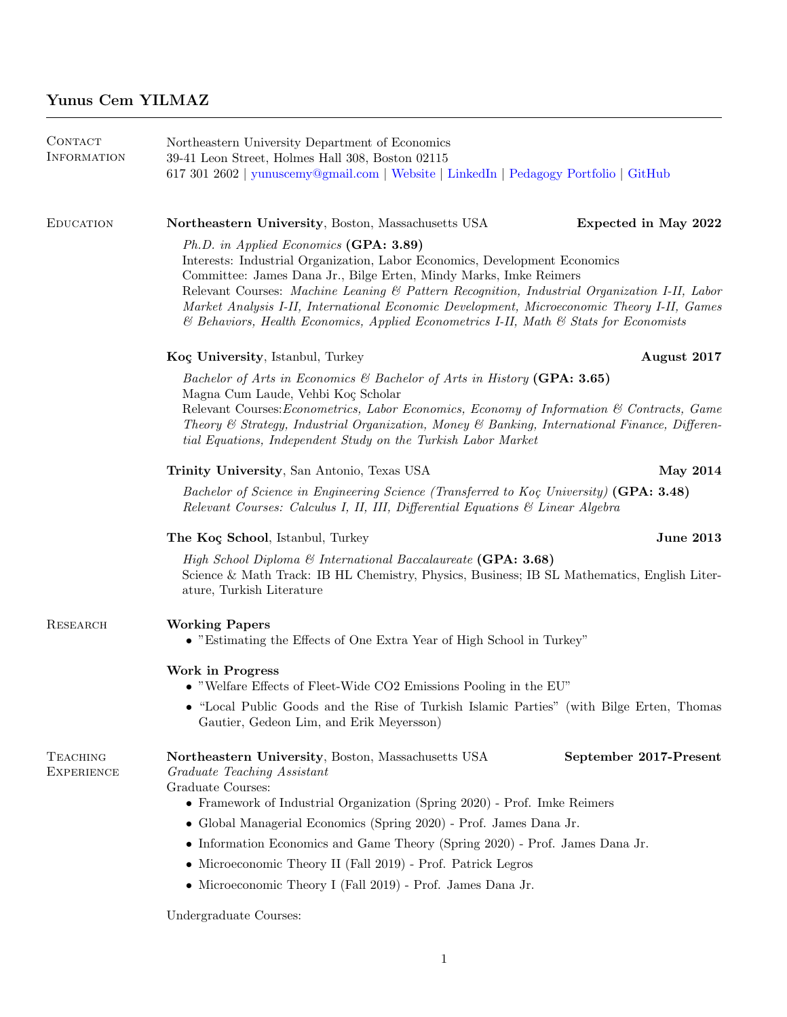| CONTACT<br>INFORMATION               | Northeastern University Department of Economics<br>39-41 Leon Street, Holmes Hall 308, Boston 02115<br>617 301 2602   yunuscemy@gmail.com   Website   LinkedIn   Pedagogy Portfolio   GitHub                                                                                                                                                                                                                                                                                           |  |  |
|--------------------------------------|----------------------------------------------------------------------------------------------------------------------------------------------------------------------------------------------------------------------------------------------------------------------------------------------------------------------------------------------------------------------------------------------------------------------------------------------------------------------------------------|--|--|
| <b>EDUCATION</b>                     | Northeastern University, Boston, Massachusetts USA<br>Expected in May 2022                                                                                                                                                                                                                                                                                                                                                                                                             |  |  |
|                                      | Ph.D. in Applied Economics (GPA: 3.89)<br>Interests: Industrial Organization, Labor Economics, Development Economics<br>Committee: James Dana Jr., Bilge Erten, Mindy Marks, Imke Reimers<br>Relevant Courses: Machine Leaning & Pattern Recognition, Industrial Organization I-II, Labor<br>Market Analysis I-II, International Economic Development, Microeconomic Theory I-II, Games<br>$\&$ Behaviors, Health Economics, Applied Econometrics I-II, Math $\&$ Stats for Economists |  |  |
|                                      | August 2017<br>Koç University, Istanbul, Turkey                                                                                                                                                                                                                                                                                                                                                                                                                                        |  |  |
|                                      | Bachelor of Arts in Economics & Bachelor of Arts in History (GPA: 3.65)<br>Magna Cum Laude, Vehbi Koç Scholar<br>Relevant Courses: Econometrics, Labor Economics, Economy of Information & Contracts, Game<br>Theory & Strategy, Industrial Organization, Money & Banking, International Finance, Differen-<br>tial Equations, Independent Study on the Turkish Labor Market                                                                                                           |  |  |
|                                      | Trinity University, San Antonio, Texas USA<br><b>May 2014</b>                                                                                                                                                                                                                                                                                                                                                                                                                          |  |  |
|                                      | Bachelor of Science in Engineering Science (Transferred to Koç University) (GPA: 3.48)<br>Relevant Courses: Calculus I, II, III, Differential Equations & Linear Algebra                                                                                                                                                                                                                                                                                                               |  |  |
|                                      | <b>June 2013</b><br>The Koç School, Istanbul, Turkey                                                                                                                                                                                                                                                                                                                                                                                                                                   |  |  |
|                                      | High School Diploma & International Baccalaureate (GPA: 3.68)<br>Science & Math Track: IB HL Chemistry, Physics, Business; IB SL Mathematics, English Liter-<br>ature, Turkish Literature                                                                                                                                                                                                                                                                                              |  |  |
| RESEARCH                             | <b>Working Papers</b><br>• "Estimating the Effects of One Extra Year of High School in Turkey"                                                                                                                                                                                                                                                                                                                                                                                         |  |  |
|                                      | Work in Progress<br>• "Welfare Effects of Fleet-Wide CO2 Emissions Pooling in the EU"                                                                                                                                                                                                                                                                                                                                                                                                  |  |  |
|                                      | • "Local Public Goods and the Rise of Turkish Islamic Parties" (with Bilge Erten, Thomas<br>Gautier, Gedeon Lim, and Erik Meyersson)                                                                                                                                                                                                                                                                                                                                                   |  |  |
| <b>TEACHING</b><br><b>EXPERIENCE</b> | Northeastern University, Boston, Massachusetts USA<br>September 2017-Present<br>Graduate Teaching Assistant<br>Graduate Courses:<br>• Framework of Industrial Organization (Spring 2020) - Prof. Imke Reimers<br>• Global Managerial Economics (Spring 2020) - Prof. James Dana Jr.<br>• Information Economics and Game Theory (Spring 2020) - Prof. James Dana Jr.                                                                                                                    |  |  |
|                                      | $\bullet\,$ Microeconomic Theory II (Fall 2019) - Prof. Patrick Legros                                                                                                                                                                                                                                                                                                                                                                                                                 |  |  |
|                                      | • Microeconomic Theory I (Fall 2019) - Prof. James Dana Jr.                                                                                                                                                                                                                                                                                                                                                                                                                            |  |  |
|                                      | Undergraduate Courses:                                                                                                                                                                                                                                                                                                                                                                                                                                                                 |  |  |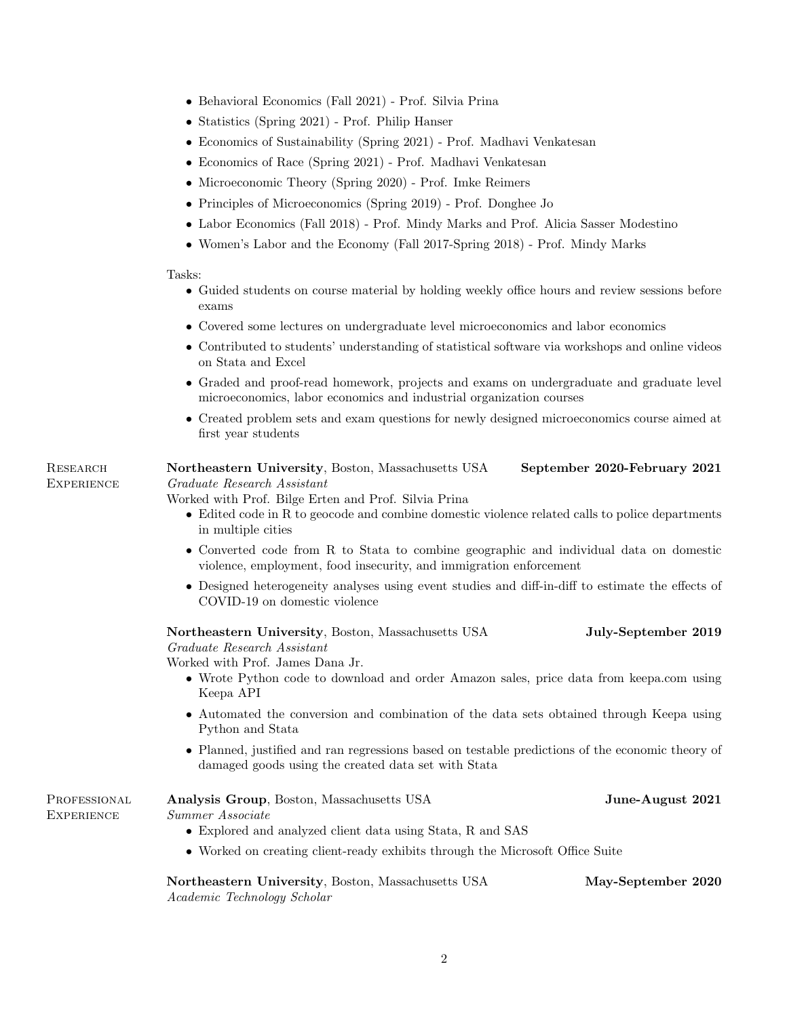- Behavioral Economics (Fall 2021) Prof. Silvia Prina
- Statistics (Spring 2021) Prof. Philip Hanser
- Economics of Sustainability (Spring 2021) Prof. Madhavi Venkatesan
- Economics of Race (Spring 2021) Prof. Madhavi Venkatesan
- Microeconomic Theory (Spring 2020) Prof. Imke Reimers
- Principles of Microeconomics (Spring 2019) Prof. Donghee Jo
- Labor Economics (Fall 2018) Prof. Mindy Marks and Prof. Alicia Sasser Modestino
- Women's Labor and the Economy (Fall 2017-Spring 2018) Prof. Mindy Marks

## Tasks:

**RESEARCH** 

- Guided students on course material by holding weekly office hours and review sessions before exams
- Covered some lectures on undergraduate level microeconomics and labor economics
- Contributed to students' understanding of statistical software via workshops and online videos on Stata and Excel
- Graded and proof-read homework, projects and exams on undergraduate and graduate level microeconomics, labor economics and industrial organization courses
- Created problem sets and exam questions for newly designed microeconomics course aimed at first year students

**EXPERIENCE** Northeastern University, Boston, Massachusetts USA September 2020-February 2021 Graduate Research Assistant

## Worked with Prof. Bilge Erten and Prof. Silvia Prina

- Edited code in R to geocode and combine domestic violence related calls to police departments in multiple cities
- Converted code from R to Stata to combine geographic and individual data on domestic violence, employment, food insecurity, and immigration enforcement
- Designed heterogeneity analyses using event studies and diff-in-diff to estimate the effects of COVID-19 on domestic violence

Northeastern University, Boston, Massachusetts USA July-September 2019 Graduate Research Assistant

Worked with Prof. James Dana Jr.

- Wrote Python code to download and order Amazon sales, price data from keepa.com using Keepa API
- Automated the conversion and combination of the data sets obtained through Keepa using Python and Stata
- Planned, justified and ran regressions based on testable predictions of the economic theory of damaged goods using the created data set with Stata

| PROFESSIONAL | <b>Analysis Group</b> , Boston, Massachusetts USA                             | June-August 2021 |
|--------------|-------------------------------------------------------------------------------|------------------|
| EXPERIENCE   | Summer Associate                                                              |                  |
|              | $\bullet$ Explored and analyzed client data using State, R and SAS            |                  |
|              | • Worked on creating client-ready exhibits through the Microsoft Office Suite |                  |

Northeastern University, Boston, Massachusetts USA May-September 2020 Academic Technology Scholar